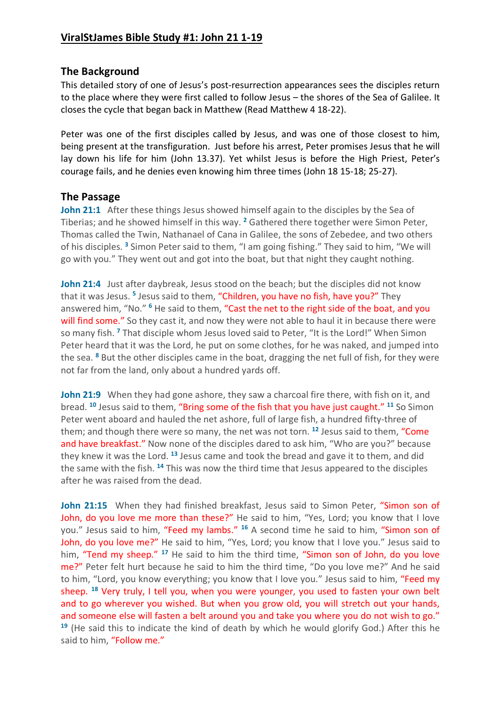## **The Background**

This detailed story of one of Jesus's post-resurrection appearances sees the disciples return to the place where they were first called to follow Jesus – the shores of the Sea of Galilee. It closes the cycle that began back in Matthew (Read Matthew 4 18-22).

Peter was one of the first disciples called by Jesus, and was one of those closest to him, being present at the transfiguration. Just before his arrest, Peter promises Jesus that he will lay down his life for him (John 13.37). Yet whilst Jesus is before the High Priest, Peter's courage fails, and he denies even knowing him three times (John 18 15-18; 25-27).

## **The Passage**

**John 21:1** After these things Jesus showed himself again to the disciples by the Sea of Tiberias; and he showed himself in this way. **<sup>2</sup>** Gathered there together were Simon Peter, Thomas called the Twin, Nathanael of Cana in Galilee, the sons of Zebedee, and two others of his disciples. **<sup>3</sup>** Simon Peter said to them, "I am going fishing." They said to him, "We will go with you." They went out and got into the boat, but that night they caught nothing.

John 21:4 Just after daybreak, Jesus stood on the beach; but the disciples did not know that it was Jesus. **<sup>5</sup>** Jesus said to them, "Children, you have no fish, have you?" They answered him, "No." **<sup>6</sup>** He said to them, "Cast the net to the right side of the boat, and you will find some." So they cast it, and now they were not able to haul it in because there were so many fish. **<sup>7</sup>** That disciple whom Jesus loved said to Peter, "It is the Lord!" When Simon Peter heard that it was the Lord, he put on some clothes, for he was naked, and jumped into the sea. **<sup>8</sup>** But the other disciples came in the boat, dragging the net full of fish, for they were not far from the land, only about a hundred yards off.

**John 21:9** When they had gone ashore, they saw a charcoal fire there, with fish on it, and bread. **<sup>10</sup>** Jesus said to them, "Bring some of the fish that you have just caught." **<sup>11</sup>** So Simon Peter went aboard and hauled the net ashore, full of large fish, a hundred fifty-three of them; and though there were so many, the net was not torn. **<sup>12</sup>** Jesus said to them, "Come and have breakfast." Now none of the disciples dared to ask him, "Who are you?" because they knew it was the Lord. **<sup>13</sup>** Jesus came and took the bread and gave it to them, and did the same with the fish. **<sup>14</sup>** This was now the third time that Jesus appeared to the disciples after he was raised from the dead.

John 21:15 When they had finished breakfast, Jesus said to Simon Peter, "Simon son of John, do you love me more than these?" He said to him, "Yes, Lord; you know that I love you." Jesus said to him, "Feed my lambs." **<sup>16</sup>** A second time he said to him, "Simon son of John, do you love me?" He said to him, "Yes, Lord; you know that I love you." Jesus said to him, "Tend my sheep." **<sup>17</sup>** He said to him the third time, "Simon son of John, do you love me?" Peter felt hurt because he said to him the third time, "Do you love me?" And he said to him, "Lord, you know everything; you know that I love you." Jesus said to him, "Feed my sheep. **<sup>18</sup>** Very truly, I tell you, when you were younger, you used to fasten your own belt and to go wherever you wished. But when you grow old, you will stretch out your hands, and someone else will fasten a belt around you and take you where you do not wish to go." **<sup>19</sup>** (He said this to indicate the kind of death by which he would glorify God.) After this he said to him, "Follow me."